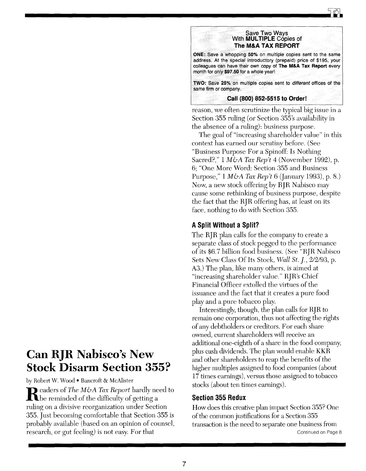

reason, we often scrutinize the typical big issue in a Section 355 ruling (or Section 355's availability in the absence of a ruling): business purpose.

The goal of "increasing shareholder value" in this context has earned our scrutiny before. (See "Business Purpose For a Spinoff: Is Nothing Sacred?," 1 *M&A Tax Rep't* 4 (November 1992), p. 6; "One More Word: Section 355 and Business PUlpose," 1 *M&A Tax Rep't* 6 (January 1993), p. 8.) Now, a new stock offering by RJR Nabisco may cause some rethinking of business purpose, despite the fact that the RJR offering has, at least on its face, nothing to do with Section 355.

## A Split Without a Split?

The RJR plan calls for the company to create a separate class of stock pegged to the performance of its \$6.7 billion food business. (See "RJR Nabisco Sets New Class Of Its Stock, *Wall St. J.*, 2/2/93, p. A3.) The plan, like many others, is aimed at "increasing shareholder value." RJR's Chief Financial Officer extolled the virtues of the issuance and the fact that it creates a pure food play and a pure tobacco play.

Interestingly, though, the plan calls for RJR to remain one corporation, thus not affecting the rights of any debtholders or creditors. For each share owned, current shareholders will receive an additional one-eighth of a share in the food company, plus cash dividends. The plan would enable KKR and other shareholders to reap the benefits of the higher multiples assigned to food companies (about 17 times earnings), versus those assigned to tobacco stocks (about ten times earnings).

## Section 355 Redux

How does this creative plan impact Section 355? One of the common justifications for a Section 355 transaction is the need to separate one business from Continued on Page 8

## Can **RJR** Nabisco's New Stock Disarm Section 355?

by Robert W. Wood • Bancroft & McAlister

**Readers of** *The M&A Tax Report* hardly need to the reminded of the difficulty of getting a ruling on a divisive reorganization under Section 355. Just becoming comfortable that Section 355 is probably available (based on an opinion of counsel, research, or gut feeling) is not easy. For that